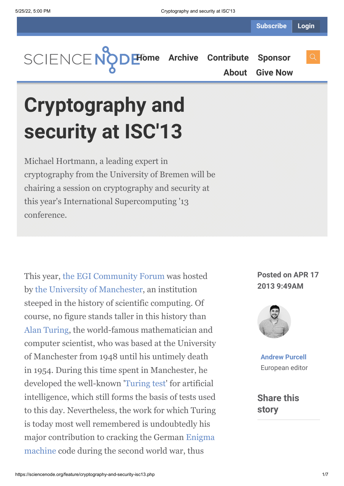**[Home](https://sciencenode.org/) [Archive](https://sciencenode.org/archive/index.php) [Contribute](https://sciencenode.org/contribute/index.php) [Sponsor](https://sciencenode.org/sponsor/index.php)**

**[About](https://sciencenode.org/about/index.php) [Give Now](https://sciencenode.org/donate/index.php)**

## **Cryptography and security at ISC'13**

Michael Hortmann, a leading expert in cryptography from the University of Bremen will be chairing a session on cryptography and security at this year's International Supercomputing '13 conference.

This year, [the EGI Community Forum](http://cf2013.egi.eu/) was hosted by [the University of Manchester](http://www.manchester.ac.uk/), an institution steeped in the history of scientific computing. Of course, no figure stands taller in this history than [Alan Turing,](http://www.turing.org.uk/turing/) the world-famous mathematician and computer scientist, who was based at the University of Manchester from 1948 until his untimely death in 1954. During this time spent in Manchester, he developed the well-known '[Turing test](http://www.turing.org.uk/turing/scrapbook/test.html)' for artificial intelligence, which still forms the basis of tests used to this day. Nevertheless, the work for which Turing is today most well remembered is undoubtedly his [major contribution to cracking the German Enigma](https://en.wikipedia.org/wiki/Enigma_machine) machine code during the second world war, thus

**Posted on APR 17 2013 9:49AM**



**[Andrew Purcell](https://sciencenode.org/author/andrew-purcell.php)** European editor

**Share this story**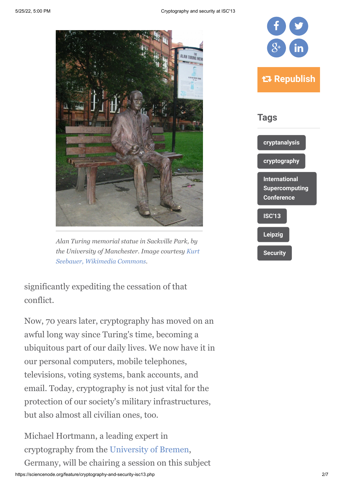

*Alan Turing memorial statue in Sackville Park, by [the University of Manchester. Image courtesy Kurt](http://en.wikipedia.org/wiki/File:Alan_Turing_Memorial_Closer.jpg) Seebauer, Wikimedia Commons.*

significantly expediting the cessation of that conflict.

Now, 70 years later, cryptography has moved on an awful long way since Turing's time, becoming a ubiquitous part of our daily lives. We now have it in our personal computers, mobile telephones, televisions, voting systems, bank accounts, and email. Today, cryptography is not just vital for the protection of our society's military infrastructures, but also almost all civilian ones, too.

Michael Hortmann, a leading expert in cryptography from the [University of Bremen](http://www.uni-bremen.de/),

Germany, will be chairing a session on this subject

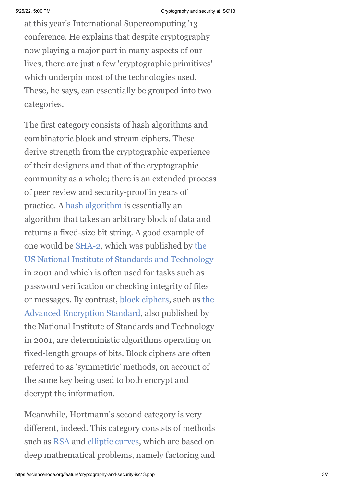at this year's International Supercomputing '13 conference. He explains that despite cryptography now playing a major part in many aspects of our lives, there are just a few 'cryptographic primitives' which underpin most of the technologies used. These, he says, can essentially be grouped into two categories.

The first category consists of hash algorithms and combinatoric block and stream ciphers. These derive strength from the cryptographic experience of their designers and that of the cryptographic community as a whole; there is an extended process of peer review and security-proof in years of practice. A [hash algorithm](http://en.wikipedia.org/wiki/Cryptographic_hash_function) is essentially an algorithm that takes an arbitrary block of data and returns a fixed-size bit string. A good example of one would be [SHA-2,](http://en.wikipedia.org/wiki/SHA-2) which was published by the [US National Institute of Standards and Technology](http://www.nist.gov/) in 2001 and which is often used for tasks such as password verification or checking integrity of files [or messages. By contrast, b](http://en.wikipedia.org/wiki/Advanced_Encryption_Standard)[lock cipher](http://en.wikipedia.org/wiki/Block_cipher)[s, such as the](http://en.wikipedia.org/wiki/Advanced_Encryption_Standard) Advanced Encryption Standard, also published by the National Institute of Standards and Technology in 2001, are deterministic algorithms operating on fixed-length groups of bits. Block ciphers are often referred to as 'symmetiric' methods, on account of the same key being used to both encrypt and decrypt the information.

Meanwhile, Hortmann's second category is very different, indeed. This category consists of methods such as [RSA](http://en.wikipedia.org/wiki/RSA_(algorithm)) and [elliptic curves,](http://en.wikipedia.org/wiki/Elliptic_curve_cryptography) which are based on deep mathematical problems, namely factoring and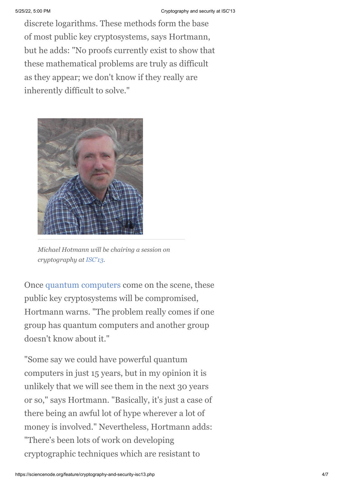discrete logarithms. These methods form the base of most public key cryptosystems, says Hortmann, but he adds: "No proofs currently exist to show that these mathematical problems are truly as difficult as they appear; we don't know if they really are inherently difficult to solve."



*Michael Hotmann will be chairing a session on cryptography at [ISC'13](http://www.isc-events.com/isc13_ap/sessiondetails.php?t=event&o=408&a=select&ra=presentationdetails).*

Once [quantum computers](https://en.wikipedia.org/wiki/Quantum_computer) come on the scene, these public key cryptosystems will be compromised, Hortmann warns. "The problem really comes if one group has quantum computers and another group doesn't know about it."

"Some say we could have powerful quantum computers in just 15 years, but in my opinion it is unlikely that we will see them in the next 30 years or so," says Hortmann. "Basically, it's just a case of there being an awful lot of hype wherever a lot of money is involved." Nevertheless, Hortmann adds: "There's been lots of work on developing cryptographic techniques which are resistant to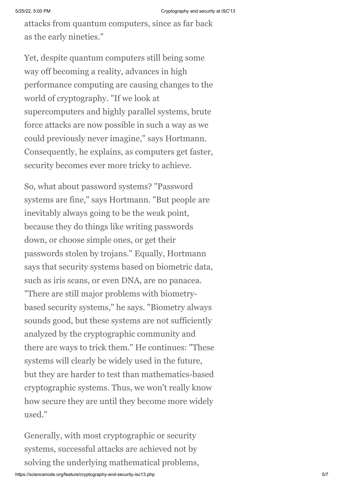attacks from quantum computers, since as far back as the early nineties."

Yet, despite quantum computers still being some way off becoming a reality, advances in high performance computing are causing changes to the world of cryptography. "If we look at supercomputers and highly parallel systems, brute force attacks are now possible in such a way as we could previously never imagine," says Hortmann. Consequently, he explains, as computers get faster, security becomes ever more tricky to achieve.

So, what about password systems? "Password systems are fine," says Hortmann. "But people are inevitably always going to be the weak point, because they do things like writing passwords down, or choose simple ones, or get their passwords stolen by trojans." Equally, Hortmann says that security systems based on biometric data, such as iris scans, or even DNA, are no panacea.

"There are still major problems with biometrybased security systems," he says. "Biometry always sounds good, but these systems are not sufficiently analyzed by the cryptographic community and there are ways to trick them." He continues: "These systems will clearly be widely used in the future, but they are harder to test than mathematics-based cryptographic systems. Thus, we won't really know how secure they are until they become more widely used."

Generally, with most cryptographic or security systems, successful attacks are achieved not by solving the underlying mathematical problems,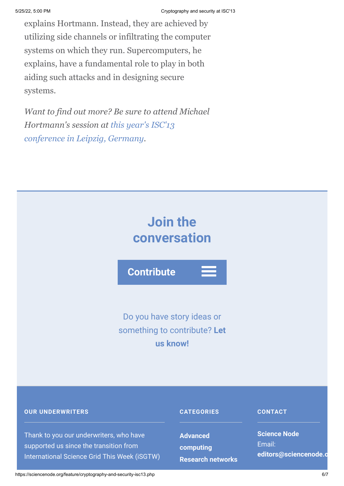explains Hortmann. Instead, they are achieved by utilizing side channels or infiltrating the computer systems on which they run. Supercomputers, he explains, have a fundamental role to play in both aiding such attacks and in designing secure systems.

*Want to find out more? Be sure to attend Michael [Hortmann's session at this year's ISC'13](http://www.isc-events.com/isc13_ap/sessiondetails.php?t=event&o=408&a=select&ra=presentationdetails) conference in Leipzig, Germany.*